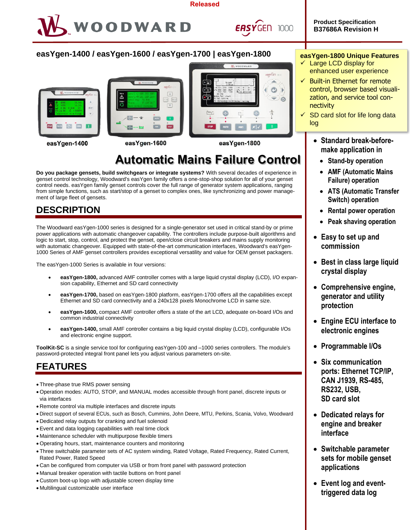#### **Released**



**EASYGEN 1000** 

**Product Specification B37686A Revision H**

### **easYgen-1400 / easYgen-1600 / easYgen-1700 | easYgen-1800**







easYgen-1400

easYgen-1600

easYgen-1800

# **Automatic Mains Failure Control**

**Do you package gensets, build switchgears or integrate systems?** With several decades of experience in genset control technology, Woodward's easYgen family offers a one-stop-shop solution for all of your genset control needs. easYgen family genset controls cover the full range of generator system applications, ranging from simple functions, such as start/stop of a genset to complex ones, like synchronizing and power management of large fleet of gensets.

## **DESCRIPTION**

The Woodward easYgen-1000 series is designed for a single-generator set used in critical stand-by or prime power applications with automatic changeover capability. The controllers include purpose-built algorithms and logic to start, stop, control, and protect the genset, open/close circuit breakers and mains supply monitoring with automatic changeover. Equipped with state-of-the-art communication interfaces, Woodward's easYgen-1000 Series of AMF genset controllers provides exceptional versatility and value for OEM genset packagers.

The easYgen-1000 Series is available in four versions:

- **easYgen-1800,** advanced AMF controller comes with a large liquid crystal display (LCD), I/O expansion capability, Ethernet and SD card connectivity
- **easYgen-1700,** based on easYgen-1800 platform, easYgen-1700 offers all the capabilities except Ethernet and SD card connectivity and a 240x128 pixels Monochrome LCD in same size.
- **easYgen-1600,** compact AMF controller offers a state of the art LCD, adequate on-board I/Os and common industrial connectivity
- **easYgen-1400,** small AMF controller contains a big liquid crystal display (LCD), configurable I/Os and electronic engine support.

**ToolKit-SC** is a single service tool for configuring easYgen-100 and –1000 series controllers. The module's password-protected integral front panel lets you adjust various parameters on-site.

## **FEATURES**

- Three-phase true RMS power sensing
- Operation modes: AUTO, STOP, and MANUAL modes accessible through front panel, discrete inputs or via interfaces
- Remote control via multiple interfaces and discrete inputs
- Direct support of several ECUs, such as Bosch, Cummins, John Deere, MTU, Perkins, Scania, Volvo, Woodward
- Dedicated relay outputs for cranking and fuel solenoid
- Event and data logging capabilities with real time clock
- Maintenance scheduler with multipurpose flexible timers
- Operating hours, start, maintenance counters and monitoring
- Three switchable parameter sets of AC system winding, Rated Voltage, Rated Frequency, Rated Current, Rated Power, Rated Speed
- Can be configured from computer via USB or from front panel with password protection
- Manual breaker operation with tactile buttons on front panel
- Custom boot-up logo with adjustable screen display time
- Multilingual customizable user interface

### **easYgen-1800 Unique Features**

- Large LCD display for enhanced user experience
- $\checkmark$  Built-in Ethernet for remote control, browser based visualization, and service tool connectivity
- SD card slot for life long data log
	- **Standard break-beforemake application in**
		- **Stand-by operation**
		- **AMF (Automatic Mains Failure) operation**
		- **ATS (Automatic Transfer Switch) operation**
		- **Rental power operation**
		- **Peak shaving operation**
	- **Easy to set up and commission**
	- **Best in class large liquid crystal display**
	- **Comprehensive engine, generator and utility protection**
	- **Engine ECU interface to electronic engines**
	- **Programmable I/Os**
	- **Six communication ports: Ethernet TCP/IP, CAN J1939, RS-485, RS232, USB, SD card slot**
	- **Dedicated relays for engine and breaker interface**
	- **Switchable parameter sets for mobile genset applications**
	- **Event log and eventtriggered data log**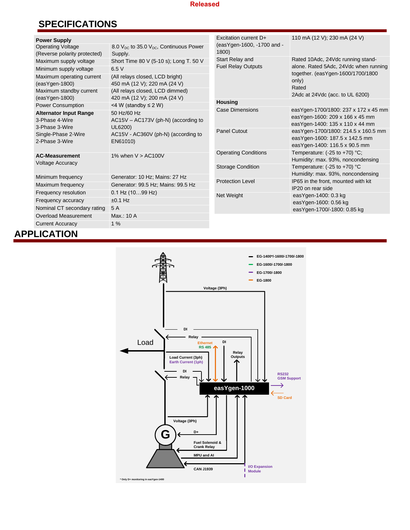### **Released**

## **SPECIFICATIONS**

|  | <b>Power Supply</b>                              |                                                            | Excitation current D+                        | 110 mA (12 V); 230 mA (24 V)                                                     |  |
|--|--------------------------------------------------|------------------------------------------------------------|----------------------------------------------|----------------------------------------------------------------------------------|--|
|  | <b>Operating Voltage</b>                         | 8.0 $V_{DC}$ to 35.0 $V_{DC}$ , Continuous Power           | (easYgen-1600, -1700 and -                   |                                                                                  |  |
|  | (Reverse polarity protected)                     | Supply.                                                    | 1800)                                        |                                                                                  |  |
|  | Maximum supply voltage                           | Short Time 80 V (5-10 s); Long T. 50 V                     | Start Relay and<br><b>Fuel Relay Outputs</b> | Rated 10Adc, 24Vdc running stand-<br>alone. Rated 5Adc, 24Vdc when running       |  |
|  | Minimum supply voltage                           | 6.5 V                                                      |                                              |                                                                                  |  |
|  | Maximum operating current                        | (All relays closed, LCD bright)                            |                                              | together. (easYgen-1600/1700/1800                                                |  |
|  | $(exsYgen-1800)$                                 | 450 mA (12 V); 220 mA (24 V)                               |                                              | only)<br>Rated                                                                   |  |
|  | Maximum standby current                          | (All relays closed, LCD dimmed)                            |                                              | 2Adc at 24Vdc (acc. to UL 6200)                                                  |  |
|  | (easYgen-1800)                                   | 420 mA (12 V); 200 mA (24 V)                               | <b>Housing</b>                               |                                                                                  |  |
|  | Power Consumption                                | <4 W (standby $\leq$ 2 W)                                  | <b>Case Dimensions</b>                       | easYgen-1700/1800: 237 x 172 x 45 mm<br>easYgen-1600: 209 x 166 x 45 mm          |  |
|  | <b>Alternator Input Range</b>                    | 50 Hz/60 Hz                                                |                                              |                                                                                  |  |
|  | 3-Phase 4-Wire                                   | $AC15V - AC173V$ (ph-N) (according to                      |                                              | easYgen-1400: 135 x 110 x 44 mm                                                  |  |
|  | 3-Phase 3-Wire                                   | UL6200)<br>AC15V - AC360V (ph-N) (according to<br>EN61010) | <b>Panel Cutout</b>                          | easYgen-1700/1800: 214.5 x 160.5 mm                                              |  |
|  | Single-Phase 2-Wire<br>2-Phase 3-Wire            |                                                            |                                              | easYgen-1600: 187.5 x 142.5 mm                                                   |  |
|  |                                                  |                                                            |                                              | easYgen-1400: 116.5 x 90.5 mm                                                    |  |
|  | <b>AC-Measurement</b><br><b>Voltage Accuracy</b> | 1% when $V > AC100V$                                       | <b>Operating Conditions</b>                  | Temperature: $(-25 \text{ to } +70)$ °C;                                         |  |
|  |                                                  |                                                            |                                              | Humidity: max. 93%, noncondensing                                                |  |
|  |                                                  |                                                            | <b>Storage Condition</b>                     | Temperature: $(-25 \text{ to } +70)$ °C                                          |  |
|  | Minimum frequency                                | Generator: 10 Hz; Mains: 27 Hz                             |                                              | Humidity: max. 93%, noncondensing                                                |  |
|  | Maximum frequency                                | Generator: 99.5 Hz; Mains: 99.5 Hz                         | <b>Protection Level</b>                      | IP65 in the front, mounted with kit<br>IP20 on rear side<br>easYgen-1400: 0.3 kg |  |
|  | Frequency resolution                             | $0.1$ Hz $(1099$ Hz)                                       | Net Weight                                   |                                                                                  |  |
|  | Frequency accuracy                               | $±0.1$ Hz                                                  |                                              |                                                                                  |  |
|  |                                                  |                                                            |                                              | easYgen-1600: 0.56 kg                                                            |  |
|  | Nominal CT secondary rating                      | 5 A                                                        |                                              | easYgen-1700/-1800: 0.85 kg                                                      |  |
|  | <b>Overload Measurement</b>                      | Max.: 10 A                                                 |                                              |                                                                                  |  |
|  | <b>Current Accuracy</b>                          | 1%                                                         |                                              |                                                                                  |  |
|  | <b>APPLICATION</b>                               |                                                            |                                              |                                                                                  |  |
|  |                                                  |                                                            |                                              |                                                                                  |  |

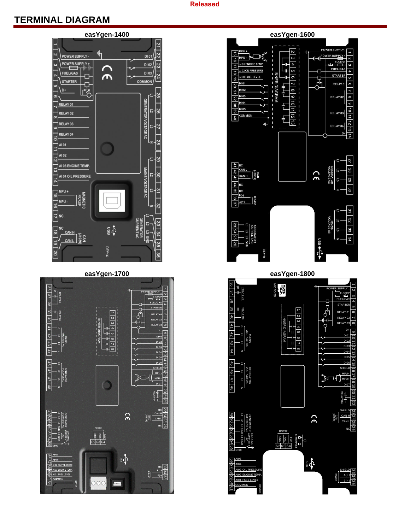### **Released**

## **TERMINAL DIAGRAM**